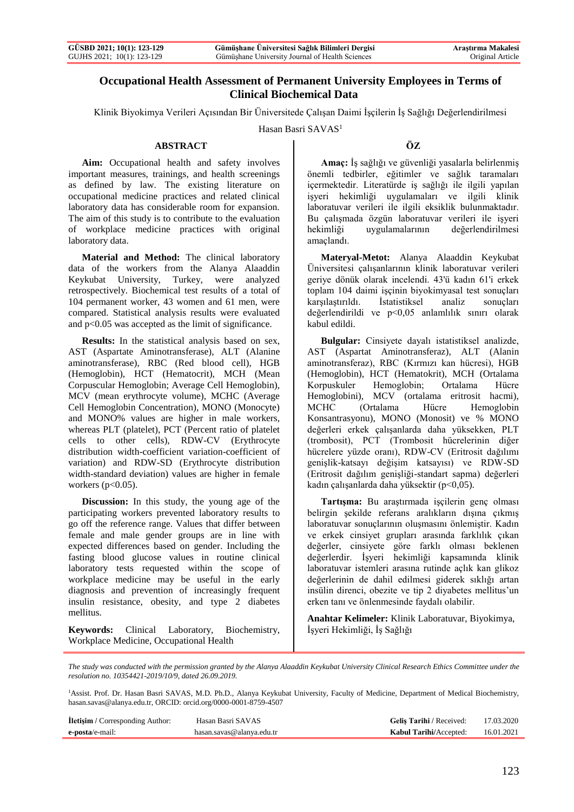## **Occupational Health Assessment of Permanent University Employees in Terms of Clinical Biochemical Data**

Klinik Biyokimya Verileri Açısından Bir Üniversitede Çalışan Daimi İşçilerin İş Sağlığı Değerlendirilmesi

Hasan Basri SAVAS<sup>1</sup>

#### **ABSTRACT**

**Aim:** Occupational health and safety involves important measures, trainings, and health screenings as defined by law. The existing literature on occupational medicine practices and related clinical laboratory data has considerable room for expansion. The aim of this study is to contribute to the evaluation of workplace medicine practices with original laboratory data.

**Material and Method:** The clinical laboratory data of the workers from the Alanya Alaaddin Keykubat University, Turkey, were analyzed retrospectively. Biochemical test results of a total of 104 permanent worker, 43 women and 61 men, were compared. Statistical analysis results were evaluated and p<0.05 was accepted as the limit of significance.

**Results:** In the statistical analysis based on sex, AST (Aspartate Aminotransferase), ALT (Alanine aminotransferase), RBC (Red blood cell), HGB (Hemoglobin), HCT (Hematocrit), MCH (Mean Corpuscular Hemoglobin; Average Cell Hemoglobin), MCV (mean erythrocyte volume), MCHC (Average Cell Hemoglobin Concentration), MONO (Monocyte) and MONO% values are higher in male workers, whereas PLT (platelet), PCT (Percent ratio of platelet cells to other cells), RDW-CV (Erythrocyte distribution width-coefficient variation-coefficient of variation) and RDW-SD (Erythrocyte distribution width-standard deviation) values are higher in female workers  $(p<0.05)$ .

**Discussion:** In this study, the young age of the participating workers prevented laboratory results to go off the reference range. Values that differ between female and male gender groups are in line with expected differences based on gender. Including the fasting blood glucose values in routine clinical laboratory tests requested within the scope of workplace medicine may be useful in the early diagnosis and prevention of increasingly frequent insulin resistance, obesity, and type 2 diabetes mellitus.

**Keywords:** Clinical Laboratory, Biochemistry, Workplace Medicine, Occupational Health

#### **ÖZ**

**Amaç:** İş sağlığı ve güvenliği yasalarla belirlenmiş önemli tedbirler, eğitimler ve sağlık taramaları içermektedir. Literatürde iş sağlığı ile ilgili yapılan işyeri hekimliği uygulamaları ve ilgili klinik laboratuvar verileri ile ilgili eksiklik bulunmaktadır. Bu çalışmada özgün laboratuvar verileri ile işyeri hekimliği uygulamalarının değerlendirilmesi amaçlandı.

**Materyal-Metot:** Alanya Alaaddin Keykubat Üniversitesi çalışanlarının klinik laboratuvar verileri geriye dönük olarak incelendi. 43'ü kadın 61'i erkek toplam 104 daimi işçinin biyokimyasal test sonuçları karşılaştırıldı. İstatistiksel analiz sonuçları değerlendirildi ve p<0,05 anlamlılık sınırı olarak kabul edildi.

**Bulgular:** Cinsiyete dayalı istatistiksel analizde, AST (Aspartat Aminotransferaz), ALT (Alanin aminotransferaz), RBC (Kırmızı kan hücresi), HGB (Hemoglobin), HCT (Hematokrit), MCH (Ortalama Korpuskuler Hemoglobin; Ortalama Hücre Hemoglobini), MCV (ortalama eritrosit hacmi), MCHC (Ortalama Hücre Hemoglobin Konsantrasyonu), MONO (Monosit) ve % MONO değerleri erkek çalışanlarda daha yüksekken, PLT (trombosit), PCT (Trombosit hücrelerinin diğer hücrelere yüzde oranı), RDW-CV (Eritrosit dağılımı genişlik-katsayı değişim katsayısı) ve RDW-SD (Eritrosit dağılım genişliği-standart sapma) değerleri kadın çalışanlarda daha yüksektir (p<0,05).

**Tartışma:** Bu araştırmada işçilerin genç olması belirgin şekilde referans aralıkların dışına çıkmış laboratuvar sonuçlarının oluşmasını önlemiştir. Kadın ve erkek cinsiyet grupları arasında farklılık çıkan değerler, cinsiyete göre farklı olması beklenen değerlerdir. İşyeri hekimliği kapsamında klinik laboratuvar istemleri arasına rutinde açlık kan glikoz değerlerinin de dahil edilmesi giderek sıklığı artan insülin direnci, obezite ve tip 2 diyabetes mellitus'un erken tanı ve önlenmesinde faydalı olabilir.

**Anahtar Kelimeler:** Klinik Laboratuvar, Biyokimya, İşyeri Hekimliği, İş Sağlığı

*The study was conducted with the permission granted by the Alanya Alaaddin Keykubat University Clinical Research Ethics Committee under the resolution no. 10354421-2019/10/9, dated 26.09.2019.*

<sup>1</sup>Assist. Prof. Dr. Hasan Basri SAVAS, M.D. Ph.D., Alanya Keykubat University, Faculty of Medicine, Department of Medical Biochemistry, hasan.savas@alanya.edu.tr, ORCID: orcid.org/0000-0001-8759-4507

| <b>İletişim</b> / Corresponding Author: | Hasan Basri SAVAS         | Gelis Tarihi / Received:      | 17.03.2020 |
|-----------------------------------------|---------------------------|-------------------------------|------------|
| e-posta/e-mail:                         | hasan.sayas@alanya.edu.tr | <b>Kabul Tarihi/Accepted:</b> | 16.01.2021 |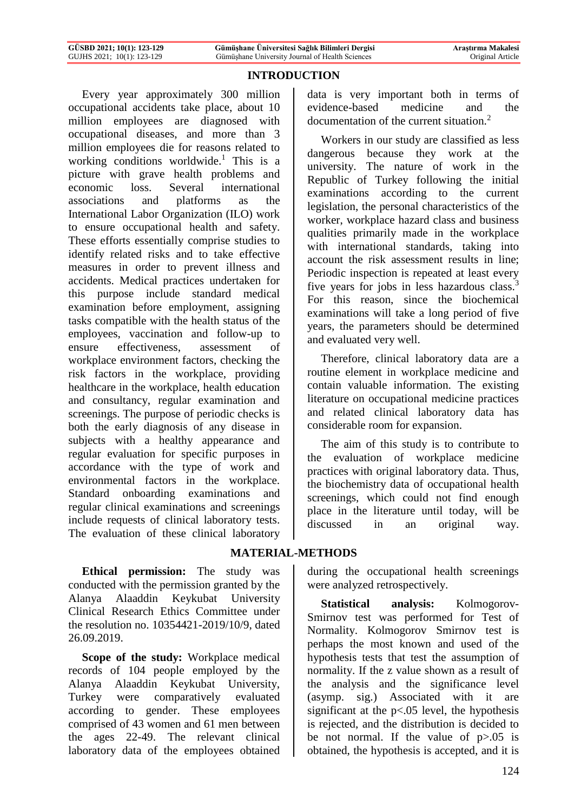# **INTRODUCTION**

Every year approximately 300 million occupational accidents take place, about 10 million employees are diagnosed with occupational diseases, and more than 3 million employees die for reasons related to working conditions worldwide.<sup>1</sup> This is a picture with grave health problems and economic loss. Several international associations and platforms as the International Labor Organization (ILO) work to ensure occupational health and safety. These efforts essentially comprise studies to identify related risks and to take effective measures in order to prevent illness and accidents. Medical practices undertaken for this purpose include standard medical examination before employment, assigning tasks compatible with the health status of the employees, vaccination and follow-up to ensure effectiveness, assessment of workplace environment factors, checking the risk factors in the workplace, providing healthcare in the workplace, health education and consultancy, regular examination and screenings. The purpose of periodic checks is both the early diagnosis of any disease in subjects with a healthy appearance and regular evaluation for specific purposes in accordance with the type of work and environmental factors in the workplace. Standard onboarding examinations and regular clinical examinations and screenings include requests of clinical laboratory tests. The evaluation of these clinical laboratory data is very important both in terms of evidence-based medicine and the documentation of the current situation.<sup>2</sup>

Workers in our study are classified as less dangerous because they work at the university. The nature of work in the Republic of Turkey following the initial examinations according to the current legislation, the personal characteristics of the worker, workplace hazard class and business qualities primarily made in the workplace with international standards, taking into account the risk assessment results in line; Periodic inspection is repeated at least every five years for jobs in less hazardous class.<sup>3</sup> For this reason, since the biochemical examinations will take a long period of five years, the parameters should be determined and evaluated very well.

Therefore, clinical laboratory data are a routine element in workplace medicine and contain valuable information. The existing literature on occupational medicine practices and related clinical laboratory data has considerable room for expansion.

The aim of this study is to contribute to the evaluation of workplace medicine practices with original laboratory data. Thus, the biochemistry data of occupational health screenings, which could not find enough place in the literature until today, will be discussed in an original way.

# **MATERIAL-METHODS**

**Ethical permission:** The study was conducted with the permission granted by the Alanya Alaaddin Keykubat University Clinical Research Ethics Committee under the resolution no. 10354421-2019/10/9, dated 26.09.2019.

**Scope of the study:** Workplace medical records of 104 people employed by the Alanya Alaaddin Keykubat University, Turkey were comparatively evaluated according to gender. These employees comprised of 43 women and 61 men between the ages 22-49. The relevant clinical laboratory data of the employees obtained during the occupational health screenings were analyzed retrospectively.

**Statistical analysis:** Kolmogorov-Smirnov test was performed for Test of Normality. Kolmogorov Smirnov test is perhaps the most known and used of the hypothesis tests that test the assumption of normality. If the z value shown as a result of the analysis and the significance level (asymp. sig.) Associated with it are significant at the p<.05 level, the hypothesis is rejected, and the distribution is decided to be not normal. If the value of  $p > .05$  is obtained, the hypothesis is accepted, and it is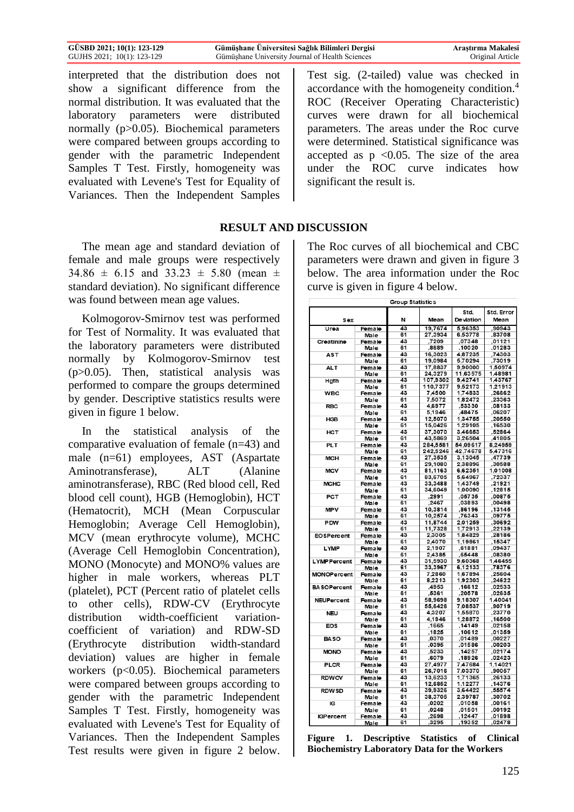| GÜSBD 2021; 10(1): 123-129 | Gümüşhane Üniversitesi Sağlık Bilimleri Dergisi | Arastırma Makalesi      |
|----------------------------|-------------------------------------------------|-------------------------|
| GUJHS 2021; 10(1): 123-129 | Gümüshane University Journal of Health Sciences | <b>Original Article</b> |

interpreted that the distribution does not show a significant difference from the normal distribution. It was evaluated that the laboratory parameters were distributed normally (p>0.05). Biochemical parameters were compared between groups according to gender with the parametric Independent Samples T Test. Firstly, homogeneity was evaluated with Levene's Test for Equality of Variances. Then the Independent Samples

The mean age and standard deviation of female and male groups were respectively  $34.86 \pm 6.15$  and  $33.23 \pm 5.80$  (mean  $\pm$ standard deviation). No significant difference was found between mean age values.

Kolmogorov-Smirnov test was performed for Test of Normality. It was evaluated that the laboratory parameters were distributed normally by Kolmogorov-Smirnov test (p>0.05). Then, statistical analysis was performed to compare the groups determined by gender. Descriptive statistics results were given in figure 1 below.

In the statistical analysis of the comparative evaluation of female (n=43) and male (n=61) employees, AST (Aspartate Aminotransferase), ALT (Alanine aminotransferase), RBC (Red blood cell, Red blood cell count), HGB (Hemoglobin), HCT (Hematocrit), MCH (Mean Corpuscular Hemoglobin; Average Cell Hemoglobin), MCV (mean erythrocyte volume), MCHC (Average Cell Hemoglobin Concentration), MONO (Monocyte) and MONO% values are higher in male workers, whereas PLT (platelet), PCT (Percent ratio of platelet cells to other cells), RDW-CV (Erythrocyte distribution width-coefficient variationcoefficient of variation) and RDW-SD (Erythrocyte distribution width-standard deviation) values are higher in female workers (p<0.05). Biochemical parameters were compared between groups according to gender with the parametric Independent Samples T Test. Firstly, homogeneity was evaluated with Levene's Test for Equality of Variances. Then the Independent Samples Test results were given in figure 2 below. Test sig. (2-tailed) value was checked in accordance with the homogeneity condition.<sup>4</sup> ROC (Receiver Operating Characteristic) curves were drawn for all biochemical parameters. The areas under the Roc curve were determined. Statistical significance was accepted as  $p \le 0.05$ . The size of the area under the ROC curve indicates how significant the result is.

# **RESULT AND DISCUSSION**

The Roc curves of all biochemical and CBC parameters were drawn and given in figure 3 below. The area information under the Roc curve is given in figure 4 below.

|                    |               | Group Statistics |          |                   |                    |
|--------------------|---------------|------------------|----------|-------------------|--------------------|
|                    |               | N                | Mean     | Std.<br>Deviation | Std. Error<br>Mean |
| Sex                |               |                  |          |                   |                    |
| Urea               | Female        | 43               | 19.7674  | 5.96353           | 90943              |
|                    | Male          | 61               | 27,3934  | 6,53778           | ,83708             |
| Creatinine         | Female        | 43               | ,7209    | .07348            | .01121             |
|                    | Male          | 61               | .8689    | ,10020            | .01283             |
| AST                | Female        | 43               | 16,3023  | 4.87235           | ,74303             |
|                    | Male          | 61               | 19,0984  | 5,70294           | .73019             |
| <b>ALT</b>         | Female        | 43               | 17,8837  | 9.90000           | 1.50974            |
|                    | Male          | 61               | 24,3279  | 11,63575          | 1,48981            |
| Hgfh               | <b>Female</b> | 43               | 107,9302 | 9.42741           | 1,43767            |
|                    | Male          | 61               | 110.7377 | 9.52173           | 1.21913            |
| WBC                | Female        | 43               | 7,4500   | 1,74833           | ,26662             |
|                    | Male          | 61               | 7.5072   | 1.82472           | ,23363             |
| <b>RBC</b>         | Female        | 43               | 4,6977   | .53330            | .08133             |
|                    | Male          | 61               | 5.1946   | .48475            | ,06207             |
| <b>HGB</b>         | Female        | 43               | 12,5070  | 1.34755           | ,20550             |
|                    | Male          | 61               | 15.0426  | 1,29105           | ,16530             |
| HCT                | <b>Female</b> | 43               | 37,3070  | 3,46653           | .52864             |
|                    | Male          | 61               | 43,5869  | 3,26504           | ,41805             |
| <b>PLT</b>         | Female        | 43               | 284.5581 | 54.09617          | 8.24959            |
|                    | Male          | 61               | 242,5246 | 42,74678          | 5,47316            |
|                    |               | 43               | 27,3535  | 3,13045           | ,47739             |
| MCH                | Female        |                  |          |                   |                    |
|                    | Male          | 61<br>43         | 29,1080  | 2,38896           | 30588<br>1.01008   |
| <b>MCV</b>         | Female        |                  | 81,1163  | 6,62351           |                    |
|                    | Male          | 61               | 83,6705  | 5,64967           | .72337             |
| <b>MCHC</b>        | <b>Female</b> | 43               | 33.3488  | 1.43749           | ,21921             |
|                    | Male          | 61               | 34,6049  | 1,00090           | ,12815             |
| PCT                | Female        | 43               | ,2991    | ,05735            | ,00875             |
|                    | Male          | 61               | ,2467    | ,03893            | .00498             |
| <b>MPV</b>         | Female        | 43               | 10,3814  | ,86196            | .13145             |
|                    | Male          | 61               | 10,2574  | ,76343            | ,09775             |
| <b>PDW</b>         | <b>Female</b> | 43               | 11.8744  | 2,01259           | .30692             |
|                    | Male          | 61               | 11.7328  | 1.72913           | ,22139             |
| <b>EOSPercent</b>  | Female        | 43               | 2,3005   | 1,84829           | ,28186             |
|                    | Male          | 61               | 2.4070   | 1.19861           | ,15347             |
| <b>LYMP</b>        | Female        | 43               | 2,1907   | .61881            | .09437             |
|                    | Male          | 61               | 2.4385   | .65448            | ,08380             |
| <b>LYMPPercent</b> | Female        | 43               | 31,5930  | 9,60368           | 1,46455            |
|                    | Male          | 61               | 33,3967  | 6,12133           | ,78376             |
| <b>MONOPercent</b> | Female        | 43               | 7,2860   | 1,67894           | .25604             |
|                    | Male          | 61               | 8,2213   | 1,92303           | ,24622             |
| <b>BASOPercent</b> | Female        | 43               | ,4953    | ,16612            | ,02533             |
|                    |               | 61               | ,5361    | ,20578            | ,02635             |
|                    | Male          |                  |          |                   |                    |
| <b>NEUPercent</b>  | Female        | 43               | 58.9698  | 9.18307           | 1.40041            |
|                    | Male          | 61               | 55,6426  | 7,08537           | .90719             |
| <b>NEU</b>         | Female        | 43               | 4.3207   | 1.55870           | ,23770             |
|                    | Male          | 61               | 4,1946   | 1,28872           | .16500             |
| <b>EOS</b>         | Female        | 43               | ,1665    | ,14149            | .02158             |
|                    | Male          | 61               | ,1825    | ,10612            | ,01359             |
| <b>BASO</b>        | Female        | 43               | ,0370    | ,01489            | ,00227             |
|                    | Male          | 61               | ,0395    | .01586            | .00203             |
| <b>MONO</b>        | Female        | 43               | ,5233    | ,14257            | .02174             |
|                    | Male          | 61               | ,6079    | ,18926            | ,02423             |
| PLCR               | Female        | 43               | 27,4977  | 7,47684           | 1,14021            |
|                    | Male          | 61               | 26,7016  | 7.03370           | .90057             |
| <b>RDWCV</b>       | Female        | 43               | 13,6233  | 1,71365           | ,26133             |
|                    | Male          | 61               | 12,6852  | 1.12277           | ,14376             |
| <b>RDWSD</b>       | Female        | 43               | 39,9326  | 3,64422           | ,55574             |
|                    | Male          | 61               | 38,3705  | 2.39787           | ,30702             |
| IG                 | Female        | 43               | ,0202    | ,01058            | ,00161             |
|                    | Male          | 61               | ,0248    | ,01501            | ,00192             |
| <b>IGPercent</b>   | <b>Female</b> | 43               | ,2698    | ,12447            | ,01898             |
|                    |               |                  |          |                   |                    |
|                    | <u>Male</u>   | 61               | ,3295    | ,19352            | ,02478             |

**Figure 1. Descriptive Statistics of Clinical Biochemistry Laboratory Data for the Workers**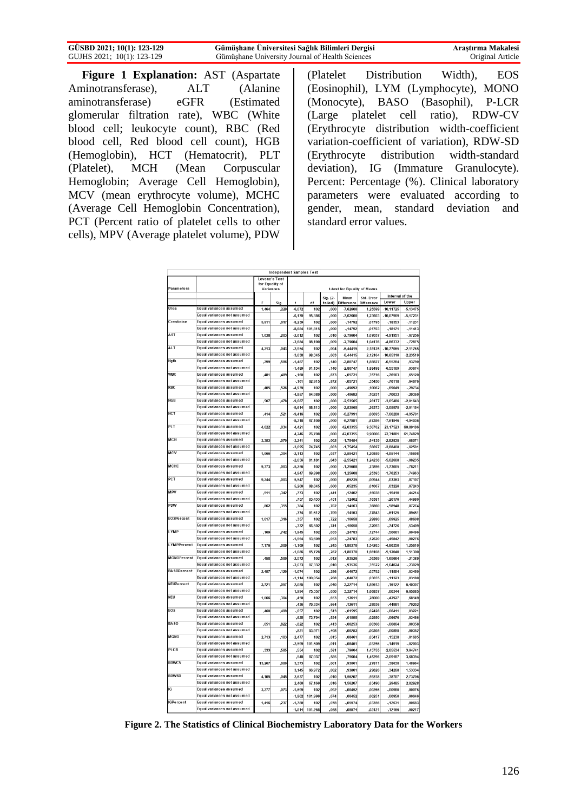| GÜSBD 2021; 10(1): 123-129 | Gümüşhane Üniversitesi Sağlık Bilimleri Dergisi | Arastırma Makalesi |
|----------------------------|-------------------------------------------------|--------------------|
| GUJHS 2021; 10(1): 123-129 | Gümüshane University Journal of Health Sciences | Original Article   |

**Figure 1 Explanation:** AST (Aspartate Aminotransferase), ALT (Alanine aminotransferase) eGFR (Estimated glomerular filtration rate), WBC (White blood cell; leukocyte count), RBC (Red blood cell, Red blood cell count), HGB (Hemoglobin), HCT (Hematocrit), PLT (Platelet), MCH (Mean Corpuscular Hemoglobin; Average Cell Hemoglobin), MCV (mean erythrocyte volume), MCHC (Average Cell Hemoglobin Concentration), PCT (Percent ratio of platelet cells to other cells), MPV (Average platelet volume), PDW

(Platelet Distribution Width), EOS (Eosinophil), LYM (Lymphocyte), MONO (Monocyte), BASO (Basophil), P-LCR (Large platelet cell ratio), RDW-CV (Erythrocyte distribution width-coefficient variation-coefficient of variation), RDW-SD (Erythrocyte distribution width-standard deviation), IG (Immature Granulocyte). Percent: Percentage (%). Clinical laboratory parameters were evaluated according to gender, mean, standard deviation and standard error values.

|                    | Independent Samples Test                               |        |                                                              |                      |                                         |                 |                          |                       |                       |                      |
|--------------------|--------------------------------------------------------|--------|--------------------------------------------------------------|----------------------|-----------------------------------------|-----------------|--------------------------|-----------------------|-----------------------|----------------------|
|                    | <b>Levene's Test</b>                                   |        |                                                              |                      |                                         |                 |                          |                       |                       |                      |
| Parameters         |                                                        |        | for Equality of<br>Variances<br>t-test for Equality of Means |                      |                                         |                 |                          |                       |                       |                      |
|                    |                                                        |        |                                                              | Interval of the      |                                         |                 |                          |                       |                       |                      |
|                    |                                                        |        |                                                              |                      | Sig. (2-<br>Std. Frror<br>Mean<br>Lower |                 |                          | Upper                 |                       |                      |
| Urea               | <b>Foual variances assumed</b>                         | 1,464  | Sia<br>,229                                                  | $-6.072$             | df<br>102                               | tailed)<br>.000 | Difference<br>$-7.62600$ | Difference<br>1.25599 | 10,11725              | $-5,13475$           |
|                    | Equal variances not assumed                            |        |                                                              | .6.170               | 95.386                                  | ,000            | 7.62600                  | 1.23603               | .10.07969             | $-5.17231$           |
| Creatinine         | Equal variances assumed                                | 5,911  | ,017                                                         | $-8,239$             | 102                                     | ,000            | $-.14792$                | ,01795                | $-18353$              | $-11231$             |
|                    | Equal variances not assumed                            |        |                                                              | $-8,684$             | 101,815                                 | ,000            | $-.14792$                | .01703                | $-18171$              | .11413               |
| AST                | Equal variances assumed                                | 1.638  | .203                                                         | $-2,612$             | 102                                     | ,010            | -2,79604                 | 1,07057               | 4,91951               | $-67256$             |
|                    | Equal variances not assumed                            |        |                                                              | $-2,684$             | 98.190                                  | ,009            | -2.79604                 | 1.04176               | 4.86332               | $-72875$             |
| ALT                | Equal variances assumed                                | 4,213  | .043                                                         | $-2,954$             | 102                                     |                 | $-6.44415$               | 2.18125               | 10,77065              | $-2, 11765$          |
|                    | <b>Foual variances not assumed</b>                     |        |                                                              | $-3,038$             | 98.345                                  | ,004<br>,003    | $-6,44415$               | 2,12104               | 10,65310              | 2.23519              |
| <b>Hgfh</b>        | Equal variances assumed                                | .299   | .586                                                         | $-1.487$             | 102                                     | .140            | -2.80747                 | 1.88827               | $-6.55284$            | .93790               |
|                    | <b>Foual variances not assumed</b>                     |        |                                                              | $-1,489$             | 91,134                                  | ,140            | $-2.80747$               | 1.88498               | $-6,55169$            | ,93674               |
| <b>WBC</b>         | Equal variances assumed                                | ,481   | ,489                                                         | $-.160$              | 102                                     | ,873            | $-.05721$                | ,35716                | $-76563$              | ,65120               |
|                    | Equal variances not assumed                            |        |                                                              | $-161$               | 92.915                                  | ,872            | $-05721$                 | ,35450                | $-76118$              | .64676               |
| R <sub>RC</sub>    | Equal variances assumed                                | .405   | .526                                                         | 4,939                | 102                                     | ,000            | $-.49692$                | ,10062                | $-0.69649$            | $-29734$             |
|                    | Equal variances not assumed                            |        |                                                              | -4,857               | 84,989                                  | ,000,           | $-49692$                 | .10231                | $-70033$              | $-29350$             |
| HGB                | Equal variances assumed                                |        | .478                                                         | $-9.687$             | 102                                     |                 | $-2.53565$               |                       | $-3.05486$            | $-2.01643$           |
|                    | Equal variances not assumed                            | ,507   |                                                              | $-9,614$             | 88.113                                  | ,000<br>,000    | $-2.53565$               | ,26177<br>,26373      | $-3,05975$            | $-2,01154$           |
| <b>HCT</b>         | Equal variances assumed                                |        | ,521                                                         | $-9,416$             | 102                                     |                 | $-6.27991$               | .66695                | $-7.60280$            | $-4.95701$           |
|                    | Equal variances not assumed                            | ,414   |                                                              | $-9,318$             | 87,109                                  | ,000<br>,000    | $-6,27991$               | ,67396                | $-7,61946$            | 4,94036              |
| PLT                | Equal variances assumed                                | 4.622  | 034                                                          | 4,421                | 102                                     | ,000            | 42,03355                 | 9,50762               | 23.17523              | 60,89186             |
|                    | Equal variances not assumed                            |        |                                                              |                      |                                         |                 |                          |                       |                       |                      |
| <b>MCH</b>         | Equal variances assumed                                | 3.353  | ,070                                                         | 4,246<br>$-3,241$    | 76,708<br>102                           | ,000<br>,002    | 42,03355<br>$-1,75454$   | 9,90006<br>.54139     | 22,31881<br>-2,82838  | 61,74829<br>$-68071$ |
|                    | Equal variances not assumed                            |        |                                                              | $-3,095$             | 74,745                                  | ,003            | $-1,75454$               | 56697                 | $-2,88408$            |                      |
| <b>MCV</b>         | Equal variances assumed                                | 1.066  | .304                                                         | $-2.113$             | 102                                     | .037            | $-2.55421$               | 1.20859               | 4.95144               | $-0.62501$           |
|                    | Equal variances not assumed                            |        |                                                              | $-2.056$             | 81,181                                  | .043            | $-2.55421$               | 1.24238               | $-5.02608$            | $-15698$<br>$-08235$ |
| <b>MCHC</b>        | Equal variances assumed                                | 9,373  | ,003                                                         | $-5,256$             | 102                                     | ,000            | $-1,25608$               | ,23896                | $-1,73005$            | $-78211$             |
|                    | Equal variances not assumed                            |        |                                                              | -4,947               | 69,898                                  | ,000            | $-1,25608$               | ,25393                | $-1,76253$            | $-74963$             |
| PC <sub>T</sub>    | Equal variances assumed                                | 9.244  | ,003                                                         | 5,547                | 102                                     | ,000            | ,05235                   | .00944                | ,03363                | .07107               |
|                    | Equal variances not assumed                            |        |                                                              | 5,200                | 68,645                                  | ,000            | .05235                   | ,01007                |                       | .07243               |
| MPV                | Equal variances assumed                                | .911   | ,342                                                         | .773                 | 102                                     | .441            | 12402                    | 16038                 | ,03226<br>$-19410$    | .44214               |
|                    | Equal variances not assumed                            |        |                                                              |                      |                                         |                 |                          |                       |                       |                      |
| PDW                | Equal variances assumed                                | ,862   | ,355                                                         | ,757<br>,384         | 83,433<br>102                           | ,451<br>,702    | ,12402<br>,14163         | ,16381<br>,36860      | ,20176<br>$-.58948$   | ,44980<br>,87274     |
|                    | Equal variances not assumed                            |        |                                                              |                      |                                         |                 |                          |                       |                       |                      |
| EOSPercent         | Equal variances assumed                                |        | .316                                                         | ,374                 | 81.612<br>102                           | .709            | ,14163                   | ,37843                | $-61125$              | .89451<br>48608      |
|                    | Equal variances not assumed                            | 1,017  |                                                              | $-.357$              |                                         | ,722            | $-.10658$                | ,29880                | $-0.69925$            | 53409                |
| I YMP              | Equal variances assumed                                |        |                                                              | $-332$               | 66,502                                  | ,741            | $-10658$                 | .32093                | $-74726$              |                      |
|                    | Equal variances not assumed                            | .109   | ,742                                                         | $-1,945$             | 102                                     | ,055            | $-.24783$                | 12744                 | $-50061$              | ,00496               |
| LYMPPercent        | <b>Equal variances assumed</b>                         |        | .009                                                         | $-1,964$<br>$-1.169$ | 93,609<br>102                           | .053            | $-.24783$<br>$-1.80370$  | .12620                | $-49842$<br>4.86350   | .00276<br>1.25610    |
|                    | Equal variances not assumed                            | 7,176  |                                                              |                      |                                         | ,245            |                          | 1,54263               |                       |                      |
| <b>MONOPercent</b> | Equal variances assumed                                | .458   | .500                                                         | $-1,086$<br>$-2.572$ | 65,728<br>102                           | ,282<br>.012    | $-1,80370$<br>.93526     | 1,66108<br>.36369     | $-5,12040$<br>1.65664 | 1,51300              |
|                    | Equal variances not assumed                            |        |                                                              |                      |                                         |                 |                          |                       |                       | $-21389$             |
| <b>BASOPercent</b> | Equal variances assumed                                |        |                                                              | $-2,633$             | 97,332                                  | ,010            | $-.93526$                | ,35522                | $-1,64024$            | $-23029$             |
|                    | Equal variances not assumed                            | 2.457  | .120                                                         | $-1,074$             | 102                                     | .286            | $-.04072$                | .03792                | $-11594$              | .03450               |
| NEUPercent         | Equal variances assumed                                | 3.721  | .057                                                         | $-1.114$<br>2.085    | 100.054<br>102                          | .268<br>.040    | $-.04072$                | .03655<br>1.59613     | $-11323$<br>.16122    | .03180<br>6.49307    |
|                    | Equal variances not assumed                            |        |                                                              |                      |                                         |                 | 3,32714                  |                       |                       |                      |
| NFII               | Equal variances assumed                                |        |                                                              | 1,994                | 75,357                                  | ,050            | 3,32714                  | 1.66857               | .00344                | 6,65085              |
|                    | Equal variances not assumed                            | 1.066  | .304                                                         | .450                 | 102                                     | .653            | ,12611                   | .28000                | $-42927$              | .68149               |
| EOS                | Foual variances assumed                                |        |                                                              | ,436                 | 79,334                                  | ,664            | ,12611                   | ,28936                | $-44981$              | ,70202               |
|                    | Equal variances not assumed                            | ,460   | ,499                                                         | $-0.657$             | 102                                     | ,513            | $-.01595$                | ,02428                | $-06411$              | ,03221               |
|                    |                                                        |        |                                                              | $-0.625$             | 73,794                                  | ,534            | $-.01595$                | ,02550                | $-.06676$             | ,03486               |
| <b>BASO</b>        | Equal variances assumed                                | ,051   | ,822                                                         | $-0.822$             | 102                                     | ,413            | $-.00253$                | .00308                | $-00864$              | .00358               |
| <b>MONO</b>        | Equal variances not assumed<br>Equal variances assumed |        |                                                              | $-.831$              | 93,971                                  | ,408            | $-.00253$                | ,00305                | .00858                | .00352               |
|                    | Equal variances not assumed                            | 2.713  | ,103                                                         | $-2.477$             | 102                                     | .015            | $-.08461$                | .03417                | $-15238$              | $-01685$             |
| PLCR               |                                                        |        |                                                              | $-2,599$             | 101.509                                 | .011            | $-.08461$                | ,03256                | $-14919$              | $-0.02003$           |
|                    | Equal variances assumed<br>Equal variances not assumed | ,333   | ,565                                                         | ,554                 | 102                                     | ,581            | ,79604                   | 1,43755               | $-2,05534$            | 3,64741              |
| RDWCV              |                                                        |        |                                                              | ,548                 | 87.037                                  | ,585            | .79604                   | 1,45296               | $-2.09187$            | 3,68394              |
|                    | Equal variances assumed<br>Equal variances not assumed | 13,207 | ,000                                                         | 3,373                | 102                                     | ,001            | ,93801                   | ,27811                | ,38638                | 1,48964              |
| RDWSD              | Equal variances assumed                                |        |                                                              | 3,145                | 66,972                                  | ,002            | .93801                   | ,29826                | ,34268                | 1,53334              |
|                    | Equal variances not assumed                            | 4,105  | ,045                                                         | 2,637                | 102                                     | ,010            | 1,56207                  | ,59238                | ,38707                | 2,73706              |
|                    |                                                        |        |                                                              | 2,460                | 67,169                                  | .016            | 1.56207                  | .63490                | .29485                | 2.82928              |
| IG                 | Equal variances assumed                                | 3,277  | .073                                                         | $-1.699$             | 102                                     | .092            | $-.00452$                | .00266                | .00980                | 00076                |
|                    | Equal variances not assumed                            |        |                                                              | $-1.802$             | 101.999                                 | .074            | $-.00452$                | .00251                | .00950                | ,00046               |
| IGPercent          | Equal variances assumed                                | 1.416  | .237                                                         | $-1.780$             | 102                                     | ,078            | $-.05974$                | ,03356                | $-12631$              | ,00683               |
|                    | Equal variances not assumed                            |        |                                                              | $-1.914$             | 101.265                                 | .058            | $-0.5974$                | ,03121                | $-12166$              | ,00217               |

**Figure 2. The Statistics of Clinical Biochemistry Laboratory Data for the Workers**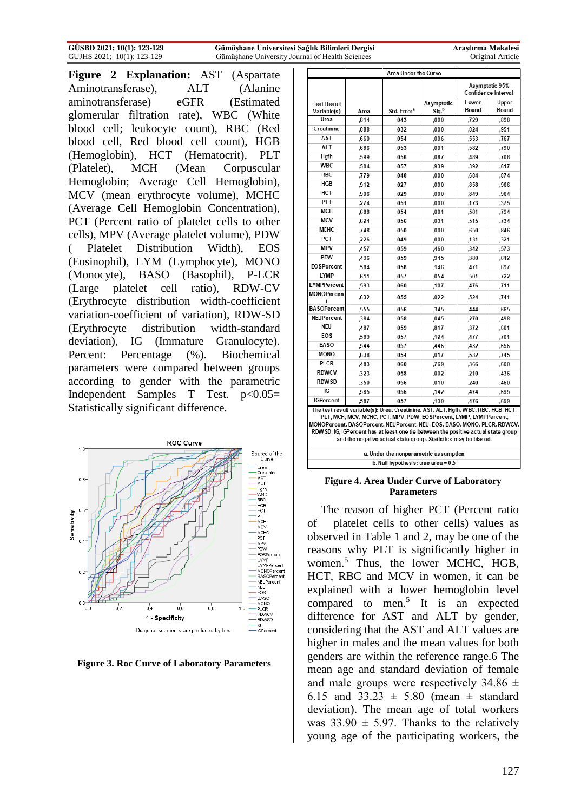**Figure 2 Explanation:** AST (Aspartate Aminotransferase), ALT (Alanine aminotransferase) eGFR (Estimated glomerular filtration rate), WBC (White blood cell; leukocyte count), RBC (Red blood cell, Red blood cell count), HGB (Hemoglobin), HCT (Hematocrit), PLT (Platelet), MCH (Mean Corpuscular Hemoglobin; Average Cell Hemoglobin), MCV (mean erythrocyte volume), MCHC (Average Cell Hemoglobin Concentration), PCT (Percent ratio of platelet cells to other cells), MPV (Average platelet volume), PDW ( Platelet Distribution Width), EOS (Eosinophil), LYM (Lymphocyte), MONO (Monocyte), BASO (Basophil), P-LCR (Large platelet cell ratio), RDW-CV (Erythrocyte distribution width-coefficient variation-coefficient of variation), RDW-SD (Erythrocyte distribution width-standard deviation), IG (Immature Granulocyte). Percent: Percentage (%). Biochemical parameters were compared between groups according to gender with the parametric Independent Samples T Test.  $p<0.05=$ Statistically significant difference.



**Figure 3. Roc Curve of Laboratory Parameters**

| Area Under the Curve                                                                                                                                                                                                                                                                                                                                                                         |      |                         |                                                    |                                       |                |  |
|----------------------------------------------------------------------------------------------------------------------------------------------------------------------------------------------------------------------------------------------------------------------------------------------------------------------------------------------------------------------------------------------|------|-------------------------|----------------------------------------------------|---------------------------------------|----------------|--|
|                                                                                                                                                                                                                                                                                                                                                                                              |      |                         |                                                    | Asymptotic 95%<br>Confidence Interval |                |  |
| <b>Test Result</b><br>Variable(s)                                                                                                                                                                                                                                                                                                                                                            | Area | Std. Error <sup>a</sup> | Lower<br>As ymptotic<br>Bound<br>Sig. <sup>b</sup> |                                       | Upper<br>Bound |  |
| Urea                                                                                                                                                                                                                                                                                                                                                                                         | .814 | .043                    | 000.                                               | .729                                  | .898           |  |
| Creatinine                                                                                                                                                                                                                                                                                                                                                                                   | .888 | .032                    | .000                                               | .824                                  | ,951           |  |
| <b>AST</b>                                                                                                                                                                                                                                                                                                                                                                                   | .660 | ,054                    | ,006                                               | .553                                  | .767           |  |
| <b>ALT</b>                                                                                                                                                                                                                                                                                                                                                                                   | ,686 | ,053                    | ,001                                               | ,582                                  | ,790           |  |
| Hgfh                                                                                                                                                                                                                                                                                                                                                                                         | .599 | ,056                    | ,087                                               | ,489                                  | .708           |  |
| <b>WBC</b>                                                                                                                                                                                                                                                                                                                                                                                   | ,504 | .057                    | ,939                                               | ,392                                  | ,617           |  |
| <b>RBC</b>                                                                                                                                                                                                                                                                                                                                                                                   | .779 | ,048                    | 000.                                               | .684                                  | .874           |  |
| HGB                                                                                                                                                                                                                                                                                                                                                                                          | ,912 | ,027                    | ,000                                               | ,858                                  | ,966           |  |
| HCT                                                                                                                                                                                                                                                                                                                                                                                          | ,906 | .029                    | ,000                                               | .849                                  | .964           |  |
| PLT                                                                                                                                                                                                                                                                                                                                                                                          | 274  | ,051                    | .000                                               | .173                                  | .375           |  |
| <b>MCH</b>                                                                                                                                                                                                                                                                                                                                                                                   | ,688 | ,054                    | ,001                                               | ,581                                  | ,794           |  |
| <b>MCV</b>                                                                                                                                                                                                                                                                                                                                                                                   | .624 | ,056                    | .031                                               | ,515                                  | ,734           |  |
| <b>MCHC</b>                                                                                                                                                                                                                                                                                                                                                                                  | .748 | .050                    | .000                                               | .650                                  | .846           |  |
| PCT                                                                                                                                                                                                                                                                                                                                                                                          | .226 | ,049                    | 000.                                               | .131                                  | ,321           |  |
| <b>MPV</b>                                                                                                                                                                                                                                                                                                                                                                                   | ,457 | ,059                    | ,460                                               | ,342                                  | ,573           |  |
| <b>PDW</b>                                                                                                                                                                                                                                                                                                                                                                                   | ,496 | ,059                    | ,945                                               | ,380                                  | ,612           |  |
| <b>EOSPercent</b>                                                                                                                                                                                                                                                                                                                                                                            | .584 | .058                    | .146                                               | 471                                   | .697           |  |
| <b>LYMP</b>                                                                                                                                                                                                                                                                                                                                                                                  | .611 | ,057                    | ,054                                               | ,501                                  | .722           |  |
| LYMPPercent                                                                                                                                                                                                                                                                                                                                                                                  | ,593 | .060                    | ,107                                               | A76                                   | ,711           |  |
| MONOPercen<br>t                                                                                                                                                                                                                                                                                                                                                                              | ,632 | ,055                    | ,022                                               | ,524                                  | .741           |  |
| <b>BASOPercent</b>                                                                                                                                                                                                                                                                                                                                                                           | .555 | ,056                    | .345                                               | <b>444</b>                            | .665           |  |
| <b>NEUPercent</b>                                                                                                                                                                                                                                                                                                                                                                            | .384 | ,058                    | 045                                                | ,270                                  | ,498           |  |
| <b>NEU</b>                                                                                                                                                                                                                                                                                                                                                                                   | ,487 | ,059                    | .817                                               | ,372                                  | ,601           |  |
| EOS                                                                                                                                                                                                                                                                                                                                                                                          | ,589 | .057                    | ,124                                               | <b>A77</b>                            | ,701           |  |
| <b>BASO</b>                                                                                                                                                                                                                                                                                                                                                                                  | .544 | ,057                    | .446                                               | ,432                                  | ,656           |  |
| <b>MONO</b>                                                                                                                                                                                                                                                                                                                                                                                  | ,638 | .054                    | ,017                                               | ,532                                  | ,745           |  |
| <b>PLCR</b>                                                                                                                                                                                                                                                                                                                                                                                  | ,483 | ,060                    | .769                                               | .366                                  | ,600           |  |
| <b>RDWCV</b>                                                                                                                                                                                                                                                                                                                                                                                 | .323 | .058                    | .002                                               | 210                                   | .436           |  |
| <b>RDWSD</b>                                                                                                                                                                                                                                                                                                                                                                                 | ,350 | ,056                    | ,010                                               | ,240                                  | ,460           |  |
| IG                                                                                                                                                                                                                                                                                                                                                                                           | ,585 | ,056                    | ,142                                               | ,474                                  | ,695           |  |
| <b>IGPercent</b>                                                                                                                                                                                                                                                                                                                                                                             | ,587 | ,057                    | ,130                                               | A76                                   | ,699           |  |
| The test result variable(s): Urea, Creatinine, AST, ALT, Hgfh, WBC, RBC, HGB, HCT,<br>PLT, MCH, MCV, MCHC, PCT, MPV, PDW, EOSPercent, LYMP, LYMPPercent,<br>MONOPercent, BASOPercent, NEUPercent, NEU, EOS, BASO, MONO, PLCR, RDWCV,<br>RDW SD, IG, IGPercent has at least one tie between the positive actual state group<br>and the negative actual state group. Statistics may be biased. |      |                         |                                                    |                                       |                |  |

a. Under the nonparametric as sumption b. Null hypothes is: true area =  $0.5$ 

#### **Figure 4. Area Under Curve of Laboratory Parameters**

The reason of higher PCT (Percent ratio of platelet cells to other cells) values as observed in Table 1 and 2, may be one of the reasons why PLT is significantly higher in women.<sup>5</sup> Thus, the lower MCHC, HGB, HCT, RBC and MCV in women, it can be explained with a lower hemoglobin level compared to men.<sup>5</sup> It is an expected difference for AST and ALT by gender, considering that the AST and ALT values are higher in males and the mean values for both genders are within the reference range.6 The mean age and standard deviation of female and male groups were respectively  $34.86 \pm$ 6.15 and  $33.23 \pm 5.80$  (mean  $\pm$  standard deviation). The mean age of total workers was  $33.90 \pm 5.97$ . Thanks to the relatively young age of the participating workers, the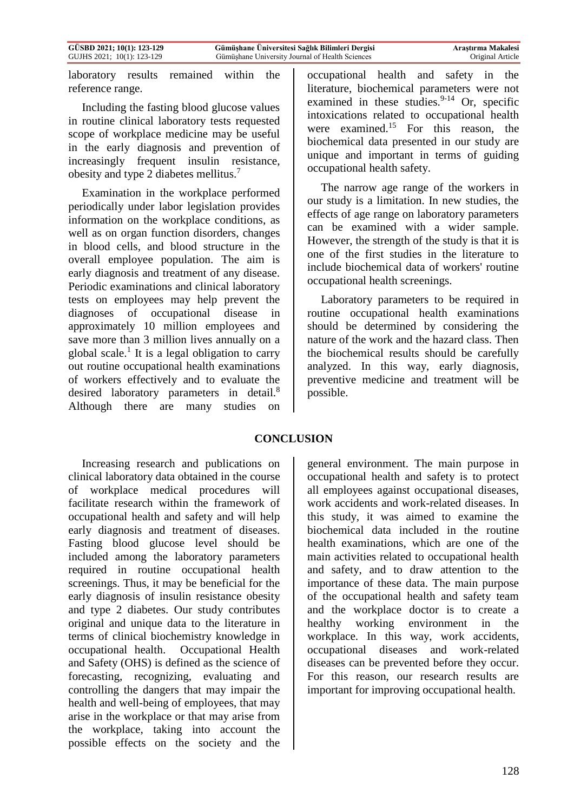laboratory results remained within the reference range.

Including the fasting blood glucose values in routine clinical laboratory tests requested scope of workplace medicine may be useful in the early diagnosis and prevention of increasingly frequent insulin resistance, obesity and type 2 diabetes mellitus.<sup>7</sup>

Examination in the workplace performed periodically under labor legislation provides information on the workplace conditions, as well as on organ function disorders, changes in blood cells, and blood structure in the overall employee population. The aim is early diagnosis and treatment of any disease. Periodic examinations and clinical laboratory tests on employees may help prevent the diagnoses of occupational disease in approximately 10 million employees and save more than 3 million lives annually on a global scale.<sup>1</sup> It is a legal obligation to carry out routine occupational health examinations of workers effectively and to evaluate the desired laboratory parameters in detail.<sup>8</sup> Although there are many studies on

occupational health and safety in the literature, biochemical parameters were not examined in these studies. $9-14$  Or, specific intoxications related to occupational health were examined.<sup>15</sup> For this reason, the biochemical data presented in our study are unique and important in terms of guiding occupational health safety.

The narrow age range of the workers in our study is a limitation. In new studies, the effects of age range on laboratory parameters can be examined with a wider sample. However, the strength of the study is that it is one of the first studies in the literature to include biochemical data of workers' routine occupational health screenings.

Laboratory parameters to be required in routine occupational health examinations should be determined by considering the nature of the work and the hazard class. Then the biochemical results should be carefully analyzed. In this way, early diagnosis, preventive medicine and treatment will be possible.

# **CONCLUSION**

Increasing research and publications on clinical laboratory data obtained in the course of workplace medical procedures will facilitate research within the framework of occupational health and safety and will help early diagnosis and treatment of diseases. Fasting blood glucose level should be included among the laboratory parameters required in routine occupational health screenings. Thus, it may be beneficial for the early diagnosis of insulin resistance obesity and type 2 diabetes. Our study contributes original and unique data to the literature in terms of clinical biochemistry knowledge in occupational health. Occupational Health and Safety (OHS) is defined as the science of forecasting, recognizing, evaluating and controlling the dangers that may impair the health and well-being of employees, that may arise in the workplace or that may arise from the workplace, taking into account the possible effects on the society and the

general environment. The main purpose in occupational health and safety is to protect all employees against occupational diseases, work accidents and work-related diseases. In this study, it was aimed to examine the biochemical data included in the routine health examinations, which are one of the main activities related to occupational health and safety, and to draw attention to the importance of these data. The main purpose of the occupational health and safety team and the workplace doctor is to create a healthy working environment in the workplace. In this way, work accidents, occupational diseases and work-related diseases can be prevented before they occur. For this reason, our research results are important for improving occupational health.